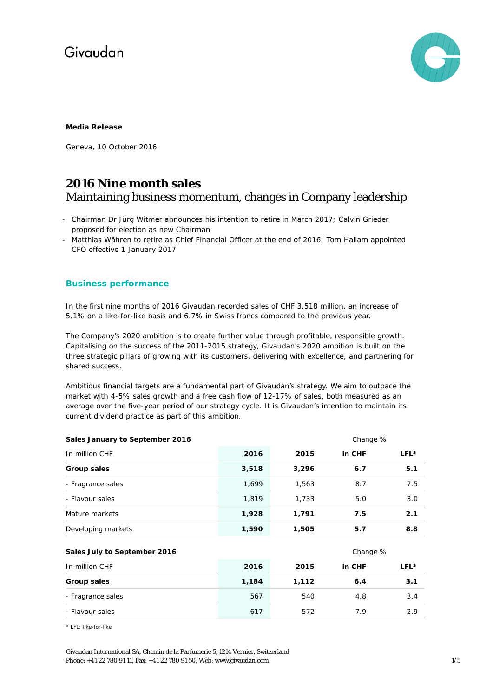

#### **Media Release**

Geneva, 10 October 2016

### **2016 Nine month sales** Maintaining business momentum, changes in Company leadership

- Chairman Dr Jürg Witmer announces his intention to retire in March 2017; Calvin Grieder proposed for election as new Chairman
- Matthias Währen to retire as Chief Financial Officer at the end of 2016; Tom Hallam appointed CFO effective 1 January 2017

#### **Business performance**

In the first nine months of 2016 Givaudan recorded sales of CHF 3,518 million, an increase of 5.1% on a like-for-like basis and 6.7% in Swiss francs compared to the previous year.

The Company's 2020 ambition is to create further value through profitable, responsible growth. Capitalising on the success of the 2011-2015 strategy, Givaudan's 2020 ambition is built on the three strategic pillars of growing with its customers, delivering with excellence, and partnering for shared success.

Ambitious financial targets are a fundamental part of Givaudan's strategy. We aim to outpace the market with 4-5% sales growth and a free cash flow of 12-17% of sales, both measured as an average over the five-year period of our strategy cycle. It is Givaudan's intention to maintain its current dividend practice as part of this ambition.

| Sales January to September 2016 |       | Change % |          |      |
|---------------------------------|-------|----------|----------|------|
| In million CHF                  | 2016  | 2015     | in CHF   | LFL* |
| Group sales                     | 3,518 | 3,296    | 6.7      | 5.1  |
| - Fragrance sales               | 1,699 | 1,563    | 8.7      | 7.5  |
| - Flavour sales                 | 1,819 | 1,733    | 5.0      | 3.0  |
| Mature markets                  | 1,928 | 1,791    | 7.5      | 2.1  |
| Developing markets              | 1,590 | 1,505    | 5.7      | 8.8  |
| Sales July to September 2016    |       |          | Change % |      |
| In million CHF                  | 2016  | 2015     | in CHF   | LFL* |
| <b>Group sales</b>              | 1,184 | 1,112    | 6.4      | 3.1  |
| - Fragrance sales               | 567   | 540      | 4.8      | 3.4  |
| - Flavour sales                 | 617   | 572      | 7.9      | 2.9  |

\* LFL: like-for-like

Givaudan International SA, Chemin de la Parfumerie 5, 1214 Vernier, Switzerland Phone: +41 22 780 91 11, Fax: +41 22 780 91 50, Web[: www.givaudan.com](http://www.givaudan.com/) 1/5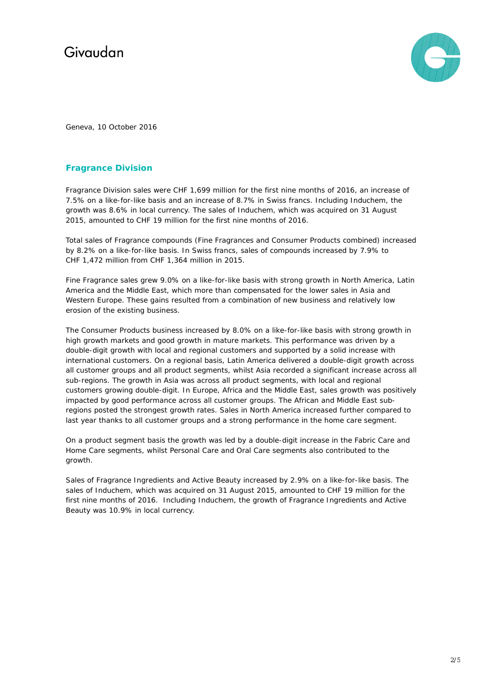

Geneva, 10 October 2016

### **Fragrance Division**

Fragrance Division sales were CHF 1,699 million for the first nine months of 2016, an increase of 7.5% on a like-for-like basis and an increase of 8.7% in Swiss francs. Including Induchem, the growth was 8.6% in local currency. The sales of Induchem, which was acquired on 31 August 2015, amounted to CHF 19 million for the first nine months of 2016.

Total sales of Fragrance compounds (Fine Fragrances and Consumer Products combined) increased by 8.2% on a like-for-like basis. In Swiss francs, sales of compounds increased by 7.9% to CHF 1,472 million from CHF 1,364 million in 2015.

Fine Fragrance sales grew 9.0% on a like-for-like basis with strong growth in North America, Latin America and the Middle East, which more than compensated for the lower sales in Asia and Western Europe. These gains resulted from a combination of new business and relatively low erosion of the existing business.

The Consumer Products business increased by 8.0% on a like-for-like basis with strong growth in high growth markets and good growth in mature markets. This performance was driven by a double-digit growth with local and regional customers and supported by a solid increase with international customers. On a regional basis, Latin America delivered a double-digit growth across all customer groups and all product segments, whilst Asia recorded a significant increase across all sub-regions. The growth in Asia was across all product segments, with local and regional customers growing double-digit. In Europe, Africa and the Middle East, sales growth was positively impacted by good performance across all customer groups. The African and Middle East subregions posted the strongest growth rates. Sales in North America increased further compared to last year thanks to all customer groups and a strong performance in the home care segment.

On a product segment basis the growth was led by a double-digit increase in the Fabric Care and Home Care segments, whilst Personal Care and Oral Care segments also contributed to the growth.

Sales of Fragrance Ingredients and Active Beauty increased by 2.9% on a like-for-like basis. The sales of Induchem, which was acquired on 31 August 2015, amounted to CHF 19 million for the first nine months of 2016. Including Induchem, the growth of Fragrance Ingredients and Active Beauty was 10.9% in local currency.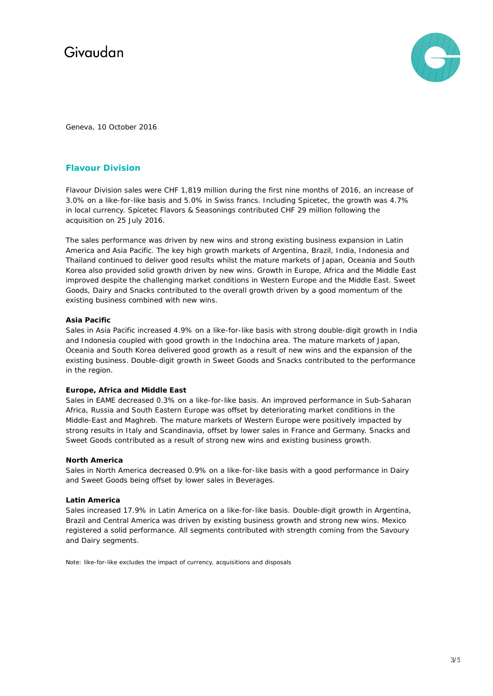

Geneva, 10 October 2016

### **Flavour Division**

Flavour Division sales were CHF 1,819 million during the first nine months of 2016, an increase of 3.0% on a like-for-like basis and 5.0% in Swiss francs. Including Spicetec, the growth was 4.7% in local currency. Spicetec Flavors & Seasonings contributed CHF 29 million following the acquisition on 25 July 2016.

The sales performance was driven by new wins and strong existing business expansion in Latin America and Asia Pacific. The key high growth markets of Argentina, Brazil, India, Indonesia and Thailand continued to deliver good results whilst the mature markets of Japan, Oceania and South Korea also provided solid growth driven by new wins. Growth in Europe, Africa and the Middle East improved despite the challenging market conditions in Western Europe and the Middle East. Sweet Goods, Dairy and Snacks contributed to the overall growth driven by a good momentum of the existing business combined with new wins.

#### **Asia Pacific**

Sales in Asia Pacific increased 4.9% on a like-for-like basis with strong double-digit growth in India and Indonesia coupled with good growth in the Indochina area. The mature markets of Japan, Oceania and South Korea delivered good growth as a result of new wins and the expansion of the existing business. Double-digit growth in Sweet Goods and Snacks contributed to the performance in the region.

#### **Europe, Africa and Middle East**

Sales in EAME decreased 0.3% on a like-for-like basis. An improved performance in Sub-Saharan Africa, Russia and South Eastern Europe was offset by deteriorating market conditions in the Middle-East and Maghreb. The mature markets of Western Europe were positively impacted by strong results in Italy and Scandinavia, offset by lower sales in France and Germany. Snacks and Sweet Goods contributed as a result of strong new wins and existing business growth.

#### **North America**

Sales in North America decreased 0.9% on a like-for-like basis with a good performance in Dairy and Sweet Goods being offset by lower sales in Beverages.

#### **Latin America**

Sales increased 17.9% in Latin America on a like-for-like basis. Double-digit growth in Argentina, Brazil and Central America was driven by existing business growth and strong new wins. Mexico registered a solid performance. All segments contributed with strength coming from the Savoury and Dairy segments.

Note: like-for-like excludes the impact of currency, acquisitions and disposals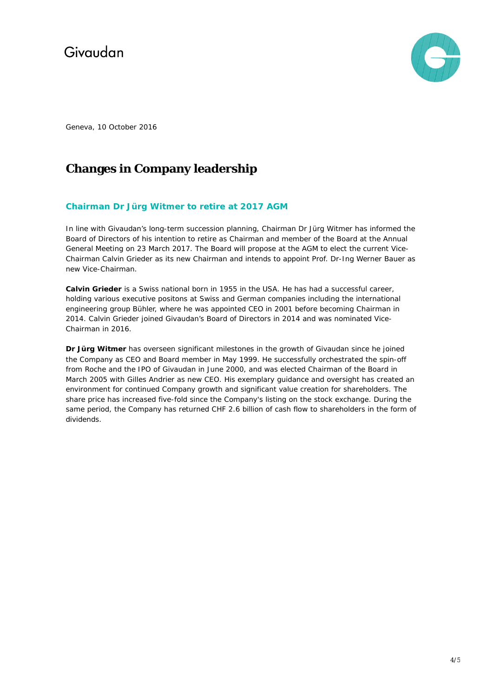

Geneva, 10 October 2016

## **Changes in Company leadership**

### **Chairman Dr Jürg Witmer to retire at 2017 AGM**

In line with Givaudan's long-term succession planning, Chairman Dr Jürg Witmer has informed the Board of Directors of his intention to retire as Chairman and member of the Board at the Annual General Meeting on 23 March 2017. The Board will propose at the AGM to elect the current Vice-Chairman Calvin Grieder as its new Chairman and intends to appoint Prof. Dr-Ing Werner Bauer as new Vice-Chairman.

**Calvin Grieder** is a Swiss national born in 1955 in the USA. He has had a successful career, holding various executive positons at Swiss and German companies including the international engineering group Bühler, where he was appointed CEO in 2001 before becoming Chairman in 2014. Calvin Grieder joined Givaudan's Board of Directors in 2014 and was nominated Vice-Chairman in 2016.

**Dr Jürg Witmer** has overseen significant milestones in the growth of Givaudan since he joined the Company as CEO and Board member in May 1999. He successfully orchestrated the spin-off from Roche and the IPO of Givaudan in June 2000, and was elected Chairman of the Board in March 2005 with Gilles Andrier as new CEO. His exemplary guidance and oversight has created an environment for continued Company growth and significant value creation for shareholders. The share price has increased five-fold since the Company's listing on the stock exchange. During the same period, the Company has returned CHF 2.6 billion of cash flow to shareholders in the form of dividends.